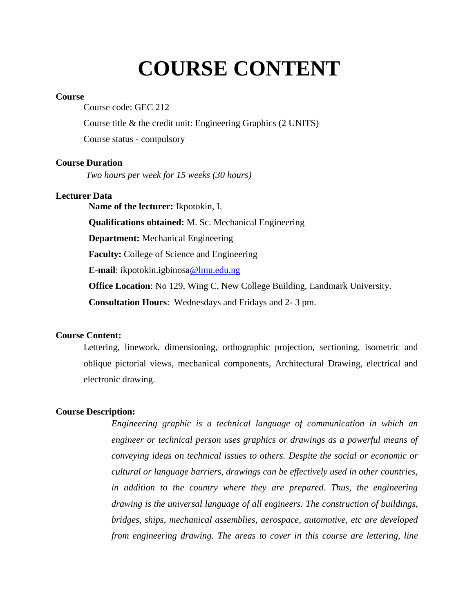# **COURSE CONTENT**

#### **Course**

Course code: GEC 212

Course title & the credit unit: Engineering Graphics (2 UNITS)

Course status - compulsory

#### **Course Duration**

*Two hours per week for 15 weeks (30 hours)*

#### **Lecturer Data**

**Name of the lecturer:** Ikpotokin, I. **Qualifications obtained:** M. Sc. Mechanical Engineering **Department:** Mechanical Engineering **Faculty:** College of Science and Engineering **E-mail**: ikpotokin.igbinosa@lmu.edu.ng **Office Location**: No 129, Wing C, New College Building, Landmark University. **Consultation Hours**: Wednesdays and Fridays and 2- 3 pm.

#### **Course Content:**

Lettering, linework, dimensioning, orthographic projection, sectioning, isometric and oblique pictorial views, mechanical components, Architectural Drawing, electrical and electronic drawing.

#### **Course Description:**

*Engineering graphic is a technical language of communication in which an engineer or technical person uses graphics or drawings as a powerful means of conveying ideas on technical issues to others. Despite the social or economic or cultural or language barriers, drawings can be effectively used in other countries, in addition to the country where they are prepared. Thus, the engineering drawing is the universal language of all engineers. The construction of buildings, bridges, ships, mechanical assemblies, aerospace, automotive, etc are developed from engineering drawing. The areas to cover in this course are lettering, line*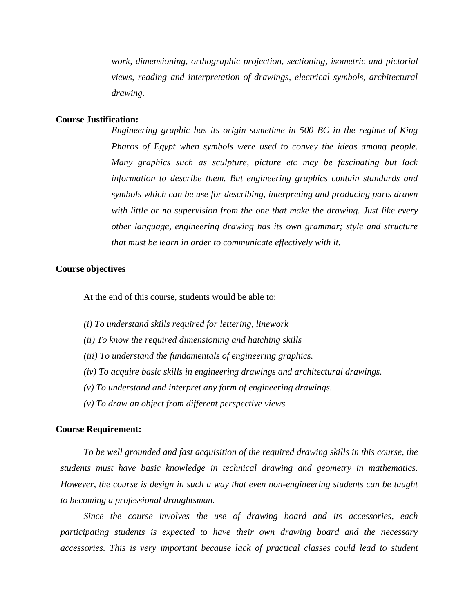*work, dimensioning, orthographic projection, sectioning, isometric and pictorial views, reading and interpretation of drawings, electrical symbols, architectural drawing.*

#### **Course Justification:**

*Engineering graphic has its origin sometime in 500 BC in the regime of King Pharos of Egypt when symbols were used to convey the ideas among people. Many graphics such as sculpture, picture etc may be fascinating but lack information to describe them. But engineering graphics contain standards and symbols which can be use for describing, interpreting and producing parts drawn with little or no supervision from the one that make the drawing. Just like every other language, engineering drawing has its own grammar; style and structure that must be learn in order to communicate effectively with it.* 

#### **Course objectives**

At the end of this course, students would be able to:

- *(i) To understand skills required for lettering, linework*
- *(ii) To know the required dimensioning and hatching skills*
- *(iii) To understand the fundamentals of engineering graphics.*
- *(iv) To acquire basic skills in engineering drawings and architectural drawings.*
- *(v) To understand and interpret any form of engineering drawings.*
- *(v) To draw an object from different perspective views.*

#### **Course Requirement:**

*To be well grounded and fast acquisition of the required drawing skills in this course, the students must have basic knowledge in technical drawing and geometry in mathematics. However, the course is design in such a way that even non-engineering students can be taught to becoming a professional draughtsman.* 

*Since the course involves the use of drawing board and its accessories, each participating students is expected to have their own drawing board and the necessary accessories. This is very important because lack of practical classes could lead to student*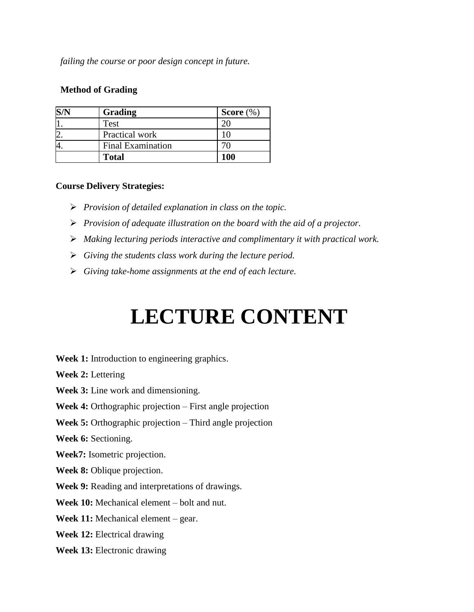*failing the course or poor design concept in future.*

### **Method of Grading**

| Grading                  | Score $(\%)$ |
|--------------------------|--------------|
| Test                     |              |
| Practical work           |              |
| <b>Final Examination</b> |              |
| <b>Total</b>             | 100          |

#### **Course Delivery Strategies:**

- *Provision of detailed explanation in class on the topic.*
- *Provision of adequate illustration on the board with the aid of a projector.*
- *Making lecturing periods interactive and complimentary it with practical work.*
- *Giving the students class work during the lecture period.*
- *Giving take-home assignments at the end of each lecture.*

# **LECTURE CONTENT**

**Week 1:** Introduction to engineering graphics.

**Week 2:** Lettering

**Week 3:** Line work and dimensioning.

**Week 4:** Orthographic projection – First angle projection

**Week 5:** Orthographic projection – Third angle projection

**Week 6:** Sectioning.

**Week7:** Isometric projection.

**Week 8:** Oblique projection.

**Week 9:** Reading and interpretations of drawings.

**Week 10:** Mechanical element – bolt and nut.

**Week 11:** Mechanical element – gear.

**Week 12:** Electrical drawing

**Week 13:** Electronic drawing